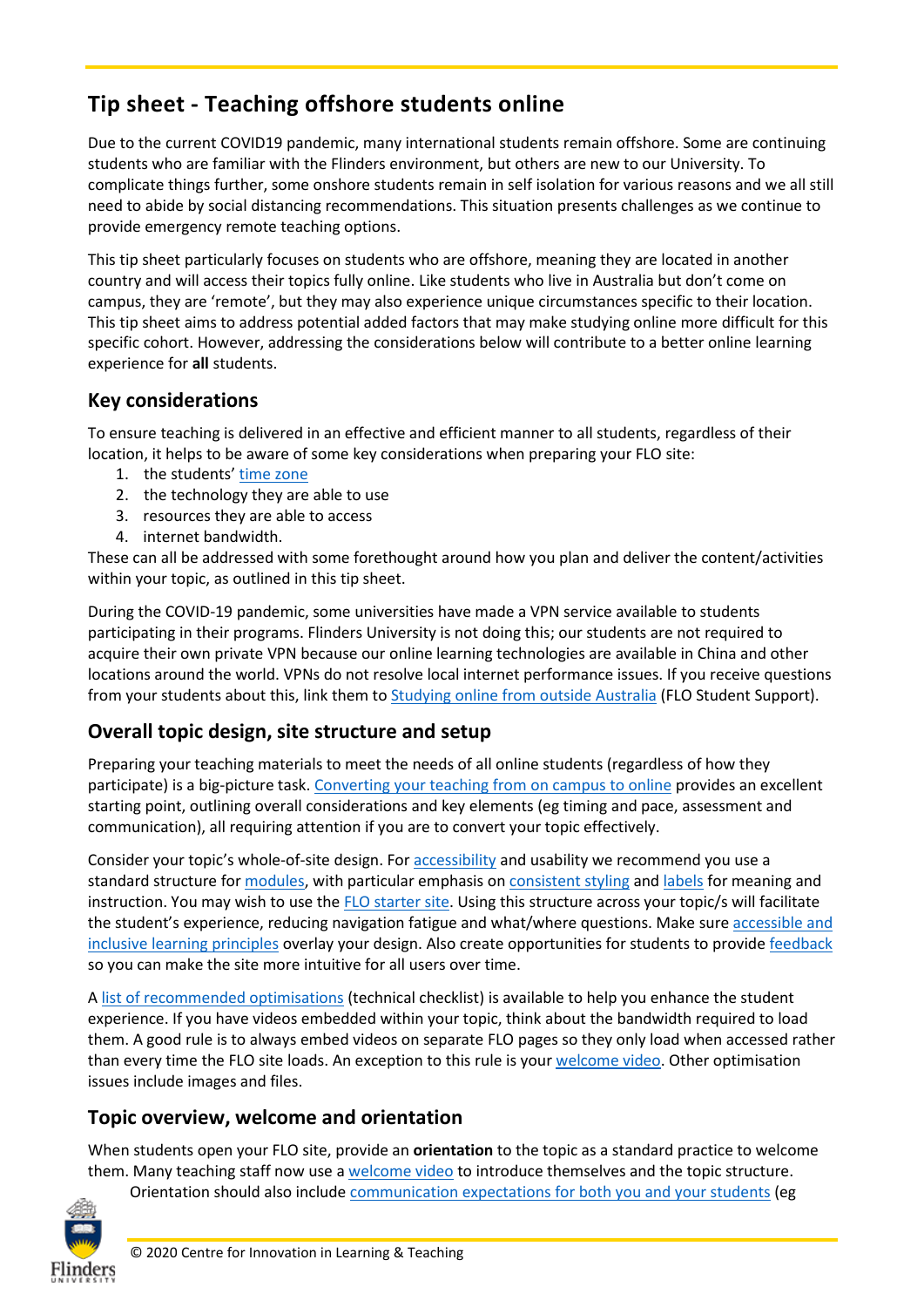# **Tip sheet - Teaching offshore students online**

Due to the current COVID19 pandemic, many international students remain offshore. Some are continuing students who are familiar with the Flinders environment, but others are new to our University. To complicate things further, some onshore students remain in self isolation for various reasons and we all still need to abide by social distancing recommendations. This situation presents challenges as we continue to provide emergency remote teaching options.

This tip sheet particularly focuses on students who are offshore, meaning they are located in another country and will access their topics fully online. Like students who live in Australia but don't come on campus, they are 'remote', but they may also experience unique circumstances specific to their location. This tip sheet aims to address potential added factors that may make studying online more difficult for this specific cohort. However, addressing the considerations below will contribute to a better online learning experience for **all** students.

# **Key considerations**

To ensure teaching is delivered in an effective and efficient manner to all students, regardless of their location, it helps to be aware of some key considerations when preparing your FLO site:

- 1. the students' [time zone](https://staff.flinders.edu.au/content/dam/staff/learning-teaching/guides/flo-time-zones.pdf)
- 2. the technology they are able to use
- 3. resources they are able to access
- 4. internet bandwidth.

These can all be addressed with some forethought around how you plan and deliver the content/activities within your topic, as outlined in this tip sheet.

During the COVID-19 pandemic, some universities have made a VPN service available to students participating in their programs. Flinders University is not doing this; our students are not required to acquire their own private VPN because our online learning technologies are available in China and other locations around the world. VPNs do not resolve local internet performance issues. If you receive questions from your students about this, link them to [Studying online from outside Australia](https://flo.flinders.edu.au/mod/book/view.php?id=2730584&chapterid=306454) (FLO Student Support).

# **Overall topic design, site structure and setup**

Preparing your teaching materials to meet the needs of all online students (regardless of how they participate) is a big-picture task[. Converting your teaching from on campus to online](https://flo.flinders.edu.au/mod/book/view.php?id=2686821&chapterid=303956) provides an excellent starting point, outlining overall considerations and key elements (eg timing and pace, assessment and communication), all requiring attention if you are to convert your topic effectively.

Consider your topic's whole-of-site design. Fo[r accessibility](https://staff.flinders.edu.au/content/dam/staff/learning-teaching/guides/accessibility-inclusivity-flo.pdf) and usability we recommend you use a standard structure for [modules,](https://flo.flinders.edu.au/mod/book/view.php?id=854982&chapterid=342253) with particular emphasis on [consistent styling](https://flo.flinders.edu.au/mod/book/view.php?id=720895) and [labels](https://flo.flinders.edu.au/mod/glossary/showentry.php?courseid=151&eid=93447&displayformat=dictionary) for meaning and instruction. You may wish to use th[e FLO starter site.](https://staff.flinders.edu.au/learning-teaching/starter-site) Using this structure across your topic/s will facilitate the student's experience, reducing navigation fatigue and what/where questions. Make sure [accessible and](https://staff.flinders.edu.au/learning-teaching/good-practice-guides/gpg-accessible)  [inclusive learning principles](https://staff.flinders.edu.au/learning-teaching/good-practice-guides/gpg-accessible) overlay your design. Also create opportunities for students to provid[e feedback](https://flo.flinders.edu.au/mod/glossary/showentry.php?courseid=151&eid=83989&displayformat=dictionary) so you can make the site more intuitive for all users over time.

[A list of recommended optimisations](https://flo.flinders.edu.au/mod/glossary/showentry.php?courseid=151&eid=106380&displayformat=dictionary) (technical checklist) is available to help you enhance the student experience. If you have videos embedded within your topic, think about the bandwidth required to load them. A good rule is to always embed videos on separate FLO pages so they only load when accessed rather than every time the FLO site loads. An exception to this rule is your [welcome video.](https://flo.flinders.edu.au/mod/glossary/showentry.php?courseid=151&eid=106000&displayformat=dictionary) Other optimisation issues include images and files.

### **Topic overview, welcome and orientation**

When students open your FLO site, provide an **orientation** to the topic as a standard practice to welcome them. Many teaching staff now use [a welcome video](https://flo.flinders.edu.au/mod/glossary/showentry.php?courseid=151&eid=106000&displayformat=dictionary) to introduce themselves and the topic structure.



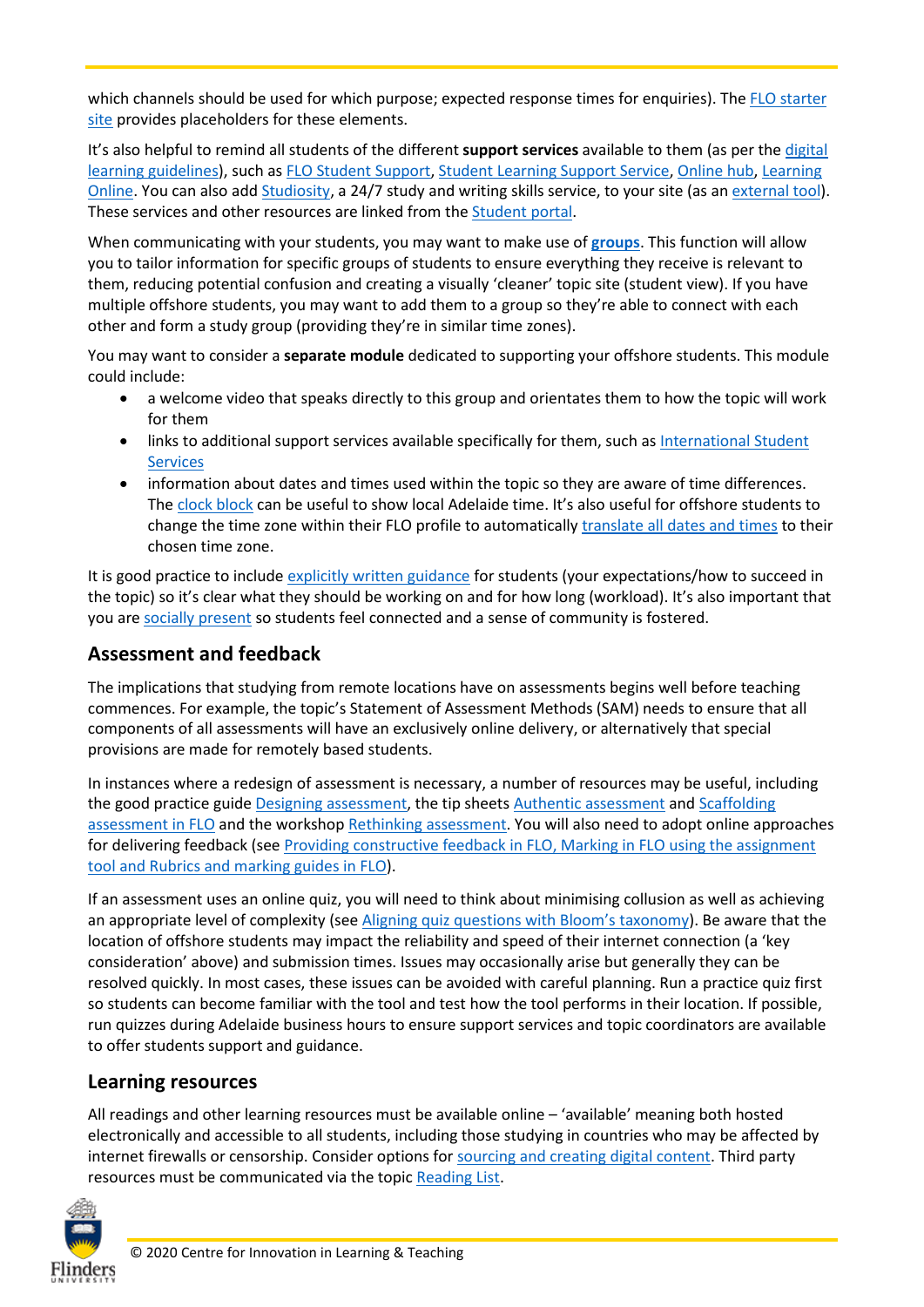which channels should be used for which purpose; expected response times for enquiries). The [FLO starter](https://staff.flinders.edu.au/learning-teaching/starter-site)  [site](https://staff.flinders.edu.au/learning-teaching/starter-site) provides placeholders for these elements.

It's also helpful to remind all students of the different **support services** available to them (as per the [digital](https://staff.flinders.edu.au/learning-teaching/digital-learning)  [learning guidelines\)](https://staff.flinders.edu.au/learning-teaching/digital-learning), such as [FLO Student Support,](https://flo.flinders.edu.au/course/view.php?id=162) [Student Learning Support Service,](https://students.flinders.edu.au/study-support/slc) [Online hub,](https://students.flinders.edu.au/online-hub) [Learning](https://flo.flinders.edu.au/course/view.php?id=63069)  [Online.](https://flo.flinders.edu.au/course/view.php?id=63069) You can also ad[d Studiosity,](http://www.flinders.edu.au/current-students/slc/studiosity.cfm) a 24/7 study and writing skills service, to your site (as an [external tool\)](https://flo.flinders.edu.au/mod/glossary/showentry.php?courseid=151&eid=83875&displayformat=dictionary). These services and other resources are linked from the [Student portal.](https://students.flinders.edu.au/)

When communicating with your students, you may want to make use of **[groups](https://flo.flinders.edu.au/mod/glossary/showentry.php?courseid=151&eid=70495&displayformat=dictionary)**. This function will allow you to tailor information for specific groups of students to ensure everything they receive is relevant to them, reducing potential confusion and creating a visually 'cleaner' topic site (student view). If you have multiple offshore students, you may want to add them to a group so they're able to connect with each other and form a study group (providing they're in similar time zones).

You may want to consider a **separate module** dedicated to supporting your offshore students. This module could include:

- a welcome video that speaks directly to this group and orientates them to how the topic will work for them
- links to additional support services available specifically for them, such as International Student **[Services](https://flo.flinders.edu.au/course/view.php?id=53477)**
- information about dates and times used within the topic so they are aware of time differences. The [clock block](https://flo.flinders.edu.au/mod/glossary/showentry.php?courseid=151&eid=108485&displayformat=dictionary) can be useful to show local Adelaide time. It's also useful for offshore students to change the time zone within their FLO profile to automatically [translate all dates and times](https://flo.flinders.edu.au/mod/glossary/showentry.php?courseid=151&eid=108486&displayformat=dictionary) to their chosen time zone.

It is good practice to include [explicitly written guidance](https://flo.flinders.edu.au/mod/book/view.php?id=854982&chapterid=76465) for students (your expectations/how to succeed in the topic) so it's clear what they should be working on and for how long (workload). It's also important that you are [socially present](https://flo.flinders.edu.au/mod/book/view.php?id=854982&chapterid=76466) so students feel connected and a sense of community is fostered.

## **Assessment and feedback**

The implications that studying from remote locations have on assessments begins well before teaching commences. For example, the topic's Statement of Assessment Methods (SAM) needs to ensure that all components of all assessments will have an exclusively online delivery, or alternatively that special provisions are made for remotely based students.

In instances where a redesign of assessment is necessary, a number of resources may be useful, including the good practice guid[e Designing assessment,](https://staff.flinders.edu.au/learning-teaching/good-practice-guides/gpg-assessment) the tip sheets [Authentic assessment](https://staff.flinders.edu.au/content/dam/staff/learning-teaching/guides/authentic-assessment.pdf) and Scaffolding [assessment in FLO](https://staff.flinders.edu.au/content/dam/staff/learning-teaching/guides/scaffolding-assessment.pdf) and the worksho[p Rethinking assessment.](https://flo.flinders.edu.au/mod/book/view.php?id=854982&chapterid=76471) You will also need to adopt online approaches for delivering feedback (see [Providing constructive feedback in FLO,](https://staff.flinders.edu.au/content/dam/staff/learning-teaching/guides/constructive-feedback.pdf) [Marking in FLO using the assignment](https://staff.flinders.edu.au/content/dam/staff/learning-teaching/guides/marking-assignment-tool.pdf)  [tool](https://staff.flinders.edu.au/content/dam/staff/learning-teaching/guides/marking-assignment-tool.pdf) and [Rubrics and marking guides in FLO\)](https://staff.flinders.edu.au/content/dam/staff/learning-teaching/guides/rubrics-marking-guides-flo.pdf).

If an assessment uses an online quiz, you will need to think about minimising collusion as well as achieving an appropriate level of complexity (see [Aligning quiz questions with Bloom's taxonomy\)](https://staff.flinders.edu.au/content/dam/staff/learning-teaching/guides/aligning-questions-bloom-taxonomy.pdf). Be aware that the location of offshore students may impact the reliability and speed of their internet connection (a 'key consideration' above) and submission times. Issues may occasionally arise but generally they can be resolved quickly. In most cases, these issues can be avoided with careful planning. Run a practice quiz first so students can become familiar with the tool and test how the tool performs in their location. If possible, run quizzes during Adelaide business hours to ensure support services and topic coordinators are available to offer students support and guidance.

### **Learning resources**

All readings and other learning resources must be available online – 'available' meaning both hosted electronically and accessible to all students, including those studying in countries who may be affected by internet firewalls or censorship. Consider options fo[r sourcing and creating digital content.](https://staff.flinders.edu.au/content/dam/staff/learning-teaching/guides/digital-content.pdf) Third party resources must be communicated via the topi[c Reading List.](https://library.flinders.edu.au/staff/readings)